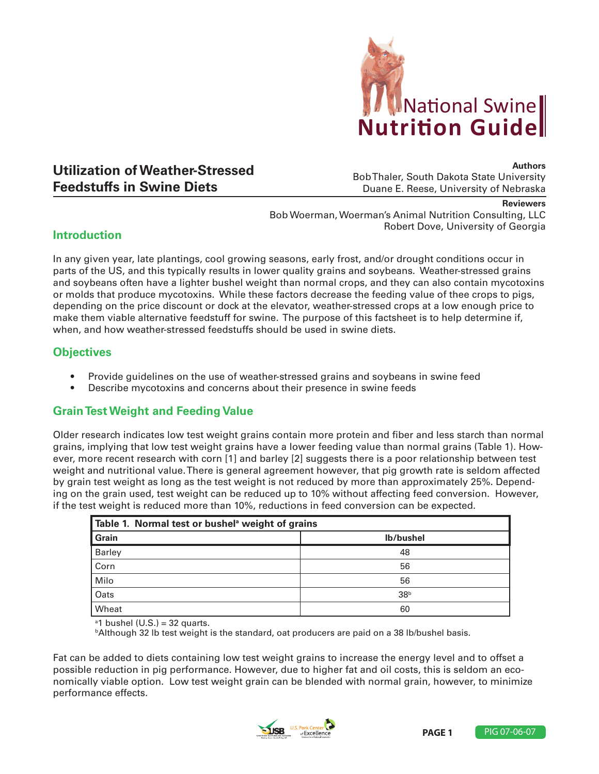

# **Utilization of Weather-Stressed Feedstuffs in Swine Diets**

**Authors**

Bob Thaler, South Dakota State University Duane E. Reese, University of Nebraska

#### **Reviewers**

Bob Woerman, Woerman's Animal Nutrition Consulting, LLC Robert Dove, University of Georgia

### **Introduction**

In any given year, late plantings, cool growing seasons, early frost, and/or drought conditions occur in parts of the US, and this typically results in lower quality grains and soybeans. Weather-stressed grains and soybeans often have a lighter bushel weight than normal crops, and they can also contain mycotoxins or molds that produce mycotoxins. While these factors decrease the feeding value of thee crops to pigs, depending on the price discount or dock at the elevator, weather-stressed crops at a low enough price to make them viable alternative feedstuff for swine. The purpose of this factsheet is to help determine if, when, and how weather-stressed feedstuffs should be used in swine diets.

## **Objectives**

- Provide quidelines on the use of weather-stressed grains and soybeans in swine feed
- Describe mycotoxins and concerns about their presence in swine feeds

### **Grain Test Weight and Feeding Value**

Older research indicates low test weight grains contain more protein and fiber and less starch than normal grains, implying that low test weight grains have a lower feeding value than normal grains (Table 1). However, more recent research with corn [1] and barley [2] suggests there is a poor relationship between test weight and nutritional value. There is general agreement however, that pig growth rate is seldom affected by grain test weight as long as the test weight is not reduced by more than approximately 25%. Depending on the grain used, test weight can be reduced up to 10% without affecting feed conversion. However, if the test weight is reduced more than 10%, reductions in feed conversion can be expected.

| Table 1. Normal test or bushel <sup>a</sup> weight of grains |                 |  |
|--------------------------------------------------------------|-----------------|--|
| Grain                                                        | lb/bushel       |  |
| <b>Barley</b>                                                | 48              |  |
| Corn                                                         | 56              |  |
| Milo                                                         | 56              |  |
| Oats                                                         | 38 <sup>b</sup> |  |
| Wheat                                                        | 60              |  |

 $a$ 1 bushel (U.S.) = 32 quarts.

**bAlthough 32 lb test weight is the standard, oat producers are paid on a 38 lb/bushel basis.** 

Fat can be added to diets containing low test weight grains to increase the energy level and to offset a possible reduction in pig performance. However, due to higher fat and oil costs, this is seldom an economically viable option. Low test weight grain can be blended with normal grain, however, to minimize performance effects.



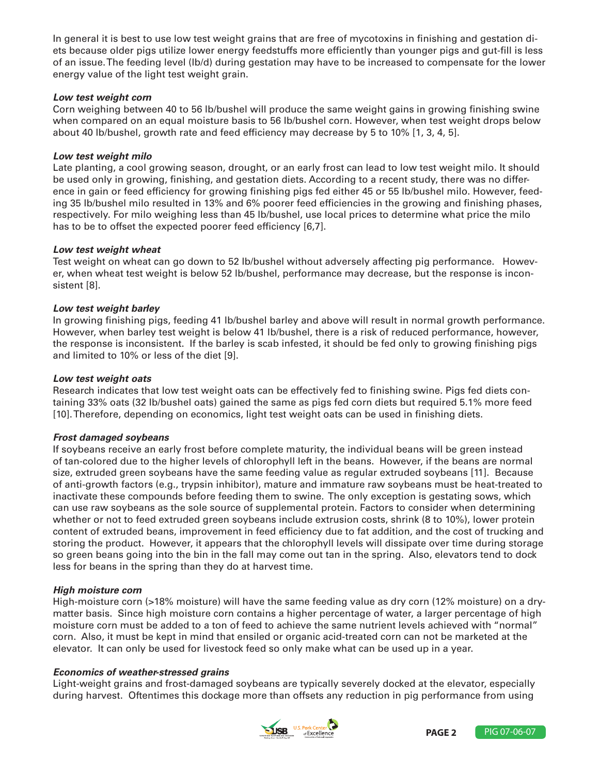In general it is best to use low test weight grains that are free of mycotoxins in finishing and gestation diets because older pigs utilize lower energy feedstuffs more efficiently than younger pigs and gut-fill is less of an issue. The feeding level (lb/d) during gestation may have to be increased to compensate for the lower energy value of the light test weight grain.

#### *Low test weight corn*

Corn weighing between 40 to 56 lb/bushel will produce the same weight gains in growing finishing swine when compared on an equal moisture basis to 56 lb/bushel corn. However, when test weight drops below about 40 lb/bushel, growth rate and feed efficiency may decrease by 5 to 10% [1, 3, 4, 5].

#### *Low test weight milo*

Late planting, a cool growing season, drought, or an early frost can lead to low test weight milo. It should be used only in growing, finishing, and gestation diets. According to a recent study, there was no difference in gain or feed efficiency for growing finishing pigs fed either 45 or 55 lb/bushel milo. However, feeding 35 lb/bushel milo resulted in 13% and 6% poorer feed efficiencies in the growing and finishing phases, respectively. For milo weighing less than 45 lb/bushel, use local prices to determine what price the milo has to be to offset the expected poorer feed efficiency [6,7].

#### *Low test weight wheat*

Test weight on wheat can go down to 52 lb/bushel without adversely affecting pig performance. However, when wheat test weight is below 52 lb/bushel, performance may decrease, but the response is inconsistent [8].

#### *Low test weight barley*

In growing finishing pigs, feeding 41 lb/bushel barley and above will result in normal growth performance. However, when barley test weight is below 41 lb/bushel, there is a risk of reduced performance, however, the response is inconsistent. If the barley is scab infested, it should be fed only to growing finishing pigs and limited to 10% or less of the diet [9].

#### *Low test weight oats*

Research indicates that low test weight oats can be effectively fed to finishing swine. Pigs fed diets containing 33% oats (32 lb/bushel oats) gained the same as pigs fed corn diets but required 5.1% more feed [10]. Therefore, depending on economics, light test weight oats can be used in finishing diets.

#### *Frost damaged soybeans*

If soybeans receive an early frost before complete maturity, the individual beans will be green instead of tan-colored due to the higher levels of chlorophyll left in the beans. However, if the beans are normal size, extruded green soybeans have the same feeding value as regular extruded soybeans [11]. Because of anti-growth factors (e.g., trypsin inhibitor), mature and immature raw soybeans must be heat-treated to inactivate these compounds before feeding them to swine. The only exception is gestating sows, which can use raw soybeans as the sole source of supplemental protein. Factors to consider when determining whether or not to feed extruded green soybeans include extrusion costs, shrink (8 to 10%), lower protein content of extruded beans, improvement in feed efficiency due to fat addition, and the cost of trucking and storing the product. However, it appears that the chlorophyll levels will dissipate over time during storage so green beans going into the bin in the fall may come out tan in the spring. Also, elevators tend to dock less for beans in the spring than they do at harvest time.

#### *High moisture corn*

High-moisture corn (>18% moisture) will have the same feeding value as dry corn (12% moisture) on a drymatter basis. Since high moisture corn contains a higher percentage of water, a larger percentage of high moisture corn must be added to a ton of feed to achieve the same nutrient levels achieved with "normal" corn. Also, it must be kept in mind that ensiled or organic acid-treated corn can not be marketed at the elevator. It can only be used for livestock feed so only make what can be used up in a year.

#### *Economics of weather-stressed grains*

Light-weight grains and frost-damaged soybeans are typically severely docked at the elevator, especially during harvest. Oftentimes this dockage more than offsets any reduction in pig performance from using

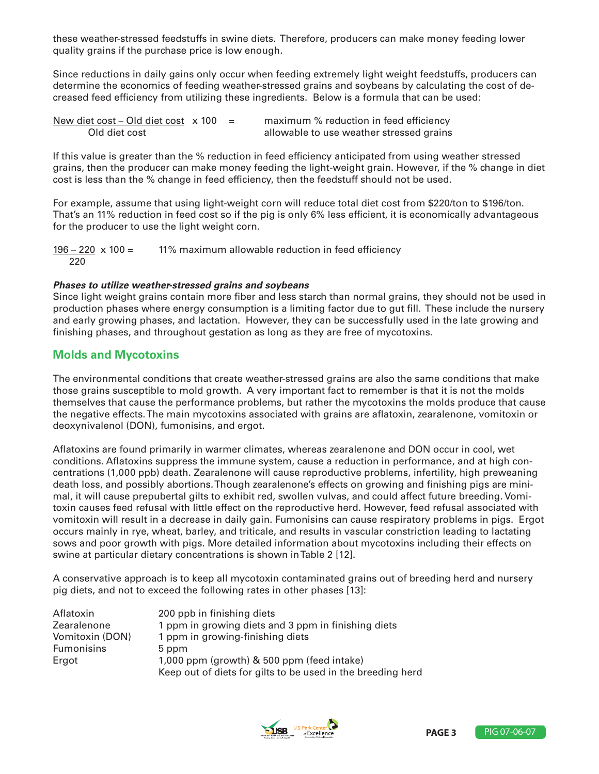these weather-stressed feedstuffs in swine diets. Therefore, producers can make money feeding lower quality grains if the purchase price is low enough.

Since reductions in daily gains only occur when feeding extremely light weight feedstuffs, producers can determine the economics of feeding weather-stressed grains and soybeans by calculating the cost of decreased feed efficiency from utilizing these ingredients. Below is a formula that can be used:

| New diet cost – Old diet cost $\times$ 100 = |  | maximum % reduction in feed efficiency   |
|----------------------------------------------|--|------------------------------------------|
| Old diet cost                                |  | allowable to use weather stressed grains |

If this value is greater than the % reduction in feed efficiency anticipated from using weather stressed grains, then the producer can make money feeding the light-weight grain. However, if the % change in diet cost is less than the % change in feed efficiency, then the feedstuff should not be used.

For example, assume that using light-weight corn will reduce total diet cost from \$220/ton to \$196/ton. That's an 11% reduction in feed cost so if the pig is only 6% less efficient, it is economically advantageous for the producer to use the light weight corn.

 $196 - 220 \times 100 = 11\%$  maximum allowable reduction in feed efficiency 220

#### *Phases to utilize weather-stressed grains and soybeans*

Since light weight grains contain more fiber and less starch than normal grains, they should not be used in production phases where energy consumption is a limiting factor due to gut fill. These include the nursery and early growing phases, and lactation. However, they can be successfully used in the late growing and finishing phases, and throughout gestation as long as they are free of mycotoxins.

### **Molds and Mycotoxins**

The environmental conditions that create weather-stressed grains are also the same conditions that make those grains susceptible to mold growth. A very important fact to remember is that it is not the molds themselves that cause the performance problems, but rather the mycotoxins the molds produce that cause the negative effects. The main mycotoxins associated with grains are aflatoxin, zearalenone, vomitoxin or deoxynivalenol (DON), fumonisins, and ergot.

Aflatoxins are found primarily in warmer climates, whereas zearalenone and DON occur in cool, wet conditions. Aflatoxins suppress the immune system, cause a reduction in performance, and at high concentrations (1,000 ppb) death. Zearalenone will cause reproductive problems, infertility, high preweaning death loss, and possibly abortions. Though zearalenone's effects on growing and finishing pigs are minimal, it will cause prepubertal gilts to exhibit red, swollen vulvas, and could affect future breeding. Vomitoxin causes feed refusal with little effect on the reproductive herd. However, feed refusal associated with vomitoxin will result in a decrease in daily gain. Fumonisins can cause respiratory problems in pigs. Ergot occurs mainly in rye, wheat, barley, and triticale, and results in vascular constriction leading to lactating sows and poor growth with pigs. More detailed information about mycotoxins including their effects on swine at particular dietary concentrations is shown in Table 2 [12].

A conservative approach is to keep all mycotoxin contaminated grains out of breeding herd and nursery pig diets, and not to exceed the following rates in other phases [13]:

| Aflatoxin         | 200 ppb in finishing diets                                  |
|-------------------|-------------------------------------------------------------|
| Zearalenone       | 1 ppm in growing diets and 3 ppm in finishing diets         |
| Vomitoxin (DON)   | 1 ppm in growing-finishing diets                            |
| <b>Fumonisins</b> | 5 ppm                                                       |
| Ergot             | 1,000 ppm (growth) & 500 ppm (feed intake)                  |
|                   | Keep out of diets for gilts to be used in the breeding herd |

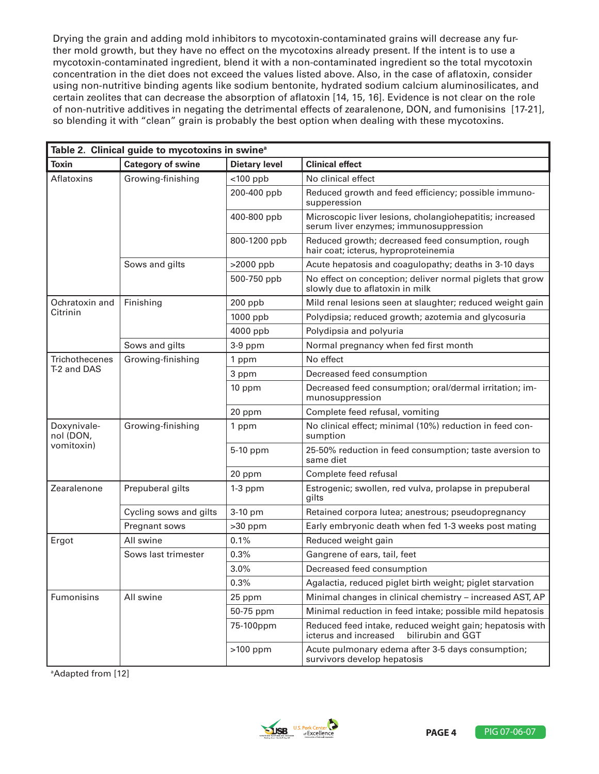Drying the grain and adding mold inhibitors to mycotoxin-contaminated grains will decrease any further mold growth, but they have no effect on the mycotoxins already present. If the intent is to use a mycotoxin-contaminated ingredient, blend it with a non-contaminated ingredient so the total mycotoxin concentration in the diet does not exceed the values listed above. Also, in the case of aflatoxin, consider using non-nutritive binding agents like sodium bentonite, hydrated sodium calcium aluminosilicates, and certain zeolites that can decrease the absorption of aflatoxin [14, 15, 16]. Evidence is not clear on the role of non-nutritive additives in negating the detrimental effects of zearalenone, DON, and fumonisins [17-21], so blending it with "clean" grain is probably the best option when dealing with these mycotoxins.

| Table 2. Clinical guide to mycotoxins in swine <sup>a</sup> |                          |                      |                                                                                                        |  |  |
|-------------------------------------------------------------|--------------------------|----------------------|--------------------------------------------------------------------------------------------------------|--|--|
| <b>Toxin</b>                                                | <b>Category of swine</b> | <b>Dietary level</b> | <b>Clinical effect</b>                                                                                 |  |  |
| Aflatoxins                                                  | Growing-finishing        | $<$ 100 ppb          | No clinical effect                                                                                     |  |  |
|                                                             |                          | 200-400 ppb          | Reduced growth and feed efficiency; possible immuno-<br>supperession                                   |  |  |
|                                                             |                          | 400-800 ppb          | Microscopic liver lesions, cholangiohepatitis; increased<br>serum liver enzymes; immunosuppression     |  |  |
|                                                             |                          | 800-1200 ppb         | Reduced growth; decreased feed consumption, rough<br>hair coat; icterus, hyproproteinemia              |  |  |
|                                                             | Sows and gilts           | >2000 ppb            | Acute hepatosis and coagulopathy; deaths in 3-10 days                                                  |  |  |
|                                                             |                          | 500-750 ppb          | No effect on conception; deliver normal piglets that grow<br>slowly due to aflatoxin in milk           |  |  |
| Ochratoxin and                                              | Finishing                | 200 ppb              | Mild renal lesions seen at slaughter; reduced weight gain                                              |  |  |
| Citrinin                                                    |                          | 1000 ppb             | Polydipsia; reduced growth; azotemia and glycosuria                                                    |  |  |
|                                                             |                          | 4000 ppb             | Polydipsia and polyuria                                                                                |  |  |
|                                                             | Sows and gilts           | 3-9 ppm              | Normal pregnancy when fed first month                                                                  |  |  |
| <b>Trichothecenes</b>                                       | Growing-finishing        | 1 ppm                | No effect                                                                                              |  |  |
| T-2 and DAS                                                 |                          | 3 ppm                | Decreased feed consumption                                                                             |  |  |
|                                                             |                          | 10 ppm               | Decreased feed consumption; oral/dermal irritation; im-<br>munosuppression                             |  |  |
|                                                             |                          | 20 ppm               | Complete feed refusal, vomiting                                                                        |  |  |
| Doxynivale-<br>nol (DON,<br>vomitoxin)                      | Growing-finishing        | 1 ppm                | No clinical effect; minimal (10%) reduction in feed con-<br>sumption                                   |  |  |
|                                                             |                          | 5-10 ppm             | 25-50% reduction in feed consumption; taste aversion to<br>same diet                                   |  |  |
|                                                             |                          | 20 ppm               | Complete feed refusal                                                                                  |  |  |
| Zearalenone                                                 | Prepuberal gilts         | $1-3$ ppm            | Estrogenic; swollen, red vulva, prolapse in prepuberal<br>gilts                                        |  |  |
|                                                             | Cycling sows and gilts   | 3-10 pm              | Retained corpora lutea; anestrous; pseudopregnancy                                                     |  |  |
|                                                             | Pregnant sows            | $>30$ ppm            | Early embryonic death when fed 1-3 weeks post mating                                                   |  |  |
| Ergot                                                       | All swine                | 0.1%                 | Reduced weight gain                                                                                    |  |  |
|                                                             | Sows last trimester      | 0.3%                 | Gangrene of ears, tail, feet                                                                           |  |  |
|                                                             |                          | 3.0%                 | Decreased feed consumption                                                                             |  |  |
|                                                             |                          | 0.3%                 | Agalactia, reduced piglet birth weight; piglet starvation                                              |  |  |
| Fumonisins                                                  | All swine                | 25 ppm               | Minimal changes in clinical chemistry - increased AST, AP                                              |  |  |
|                                                             |                          | 50-75 ppm            | Minimal reduction in feed intake; possible mild hepatosis                                              |  |  |
|                                                             |                          | 75-100ppm            | Reduced feed intake, reduced weight gain; hepatosis with<br>icterus and increased<br>bilirubin and GGT |  |  |
|                                                             |                          | $>100$ ppm           | Acute pulmonary edema after 3-5 days consumption;<br>survivors develop hepatosis                       |  |  |

a Adapted from [12]

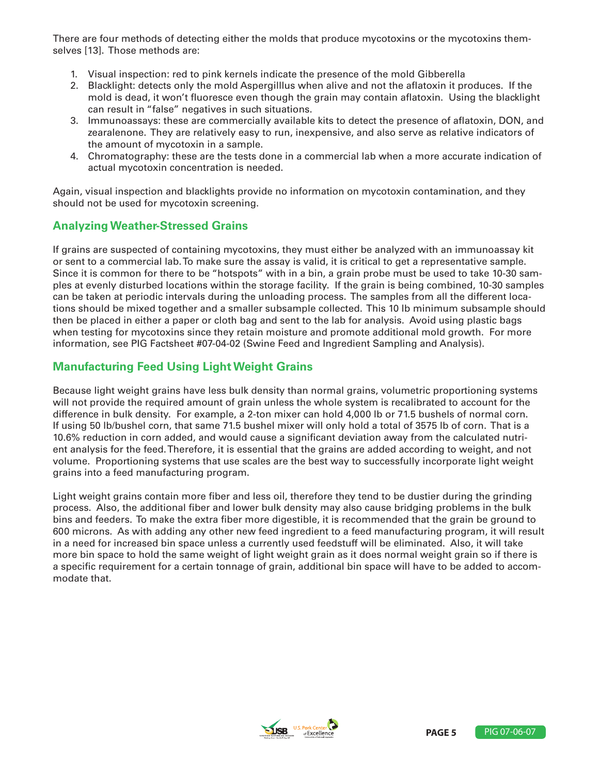There are four methods of detecting either the molds that produce mycotoxins or the mycotoxins themselves [13]. Those methods are:

- 1. Visual inspection: red to pink kernels indicate the presence of the mold Gibberella
- 2. Blacklight: detects only the mold Aspergilllus when alive and not the aflatoxin it produces. If the mold is dead, it won't fluoresce even though the grain may contain aflatoxin. Using the blacklight can result in "false" negatives in such situations.
- 3. Immunoassays: these are commercially available kits to detect the presence of aflatoxin, DON, and zearalenone. They are relatively easy to run, inexpensive, and also serve as relative indicators of the amount of mycotoxin in a sample.
- 4. Chromatography: these are the tests done in a commercial lab when a more accurate indication of actual mycotoxin concentration is needed.

Again, visual inspection and blacklights provide no information on mycotoxin contamination, and they should not be used for mycotoxin screening.

### **Analyzing Weather-Stressed Grains**

If grains are suspected of containing mycotoxins, they must either be analyzed with an immunoassay kit or sent to a commercial lab. To make sure the assay is valid, it is critical to get a representative sample. Since it is common for there to be "hotspots" with in a bin, a grain probe must be used to take 10-30 samples at evenly disturbed locations within the storage facility. If the grain is being combined, 10-30 samples can be taken at periodic intervals during the unloading process. The samples from all the different locations should be mixed together and a smaller subsample collected. This 10 lb minimum subsample should then be placed in either a paper or cloth bag and sent to the lab for analysis. Avoid using plastic bags when testing for mycotoxins since they retain moisture and promote additional mold growth. For more information, see PIG Factsheet #07-04-02 (Swine Feed and Ingredient Sampling and Analysis).

### **Manufacturing Feed Using Light Weight Grains**

Because light weight grains have less bulk density than normal grains, volumetric proportioning systems will not provide the required amount of grain unless the whole system is recalibrated to account for the difference in bulk density. For example, a 2-ton mixer can hold 4,000 lb or 71.5 bushels of normal corn. If using 50 lb/bushel corn, that same 71.5 bushel mixer will only hold a total of 3575 lb of corn. That is a 10.6% reduction in corn added, and would cause a significant deviation away from the calculated nutrient analysis for the feed. Therefore, it is essential that the grains are added according to weight, and not volume. Proportioning systems that use scales are the best way to successfully incorporate light weight grains into a feed manufacturing program.

Light weight grains contain more fiber and less oil, therefore they tend to be dustier during the grinding process. Also, the additional fiber and lower bulk density may also cause bridging problems in the bulk bins and feeders. To make the extra fiber more digestible, it is recommended that the grain be ground to 600 microns. As with adding any other new feed ingredient to a feed manufacturing program, it will result in a need for increased bin space unless a currently used feedstuff will be eliminated. Also, it will take more bin space to hold the same weight of light weight grain as it does normal weight grain so if there is a specific requirement for a certain tonnage of grain, additional bin space will have to be added to accommodate that.

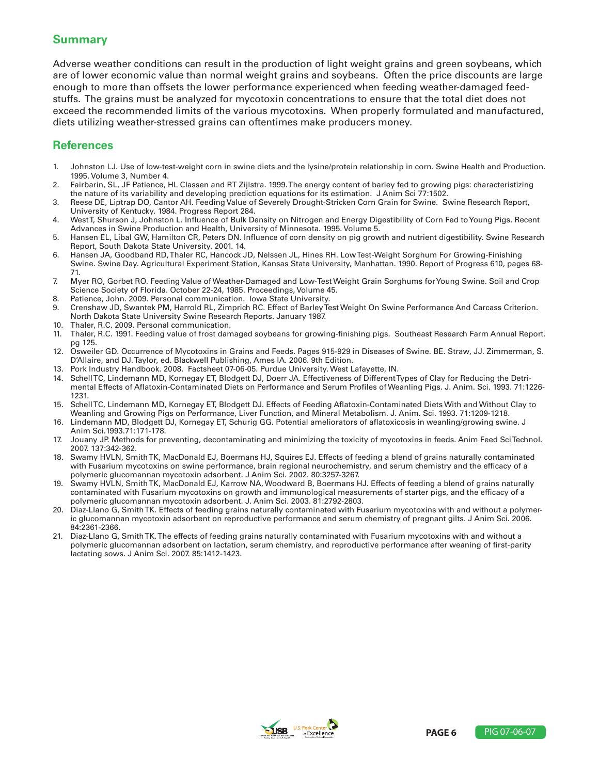### **Summary**

Adverse weather conditions can result in the production of light weight grains and green soybeans, which are of lower economic value than normal weight grains and soybeans. Often the price discounts are large enough to more than offsets the lower performance experienced when feeding weather-damaged feedstuffs. The grains must be analyzed for mycotoxin concentrations to ensure that the total diet does not exceed the recommended limits of the various mycotoxins. When properly formulated and manufactured, diets utilizing weather-stressed grains can oftentimes make producers money.

### **References**

- 1. Johnston LJ. Use of low-test-weight corn in swine diets and the lysine/protein relationship in corn. Swine Health and Production. 1995. Volume 3, Number 4.
- 2. Fairbarin, SL, JF Patience, HL Classen and RT Zijlstra. 1999. The energy content of barley fed to growing pigs: characteristizing the nature of its variability and developing prediction equations for its estimation. J Anim Sci 77:1502.
- 3. Reese DE, Liptrap DO, Cantor AH. Feeding Value of Severely Drought-Stricken Corn Grain for Swine. Swine Research Report, University of Kentucky. 1984. Progress Report 284.
- 4. West T, Shurson J, Johnston L. Influence of Bulk Density on Nitrogen and Energy Digestibility of Corn Fed to Young Pigs. Recent Advances in Swine Production and Health, University of Minnesota. 1995. Volume 5.
- 5. Hansen EL, Libal GW, Hamilton CR, Peters DN. Influence of corn density on pig growth and nutrient digestibility. Swine Research Report, South Dakota State University. 2001. 14.
- 6. Hansen JA, Goodband RD, Thaler RC, Hancock JD, Nelssen JL, Hines RH. Low Test-Weight Sorghum For Growing-Finishing Swine. Swine Day. Agricultural Experiment Station, Kansas State University, Manhattan. 1990. Report of Progress 610, pages 68- 71.
- 7. Myer RO, Gorbet RO. Feeding Value of Weather-Damaged and Low-Test Weight Grain Sorghums for Young Swine. Soil and Crop Science Society of Florida. October 22-24, 1985. Proceedings, Volume 45.
- 8. Patience, John. 2009. Personal communication. Iowa State University.
- 9. Crenshaw JD, Swantek PM, Harrold RL, Zimprich RC. Effect of Barley Test Weight On Swine Performance And Carcass Criterion. North Dakota State University Swine Research Reports. January 1987.
- 10. Thaler, R.C. 2009. Personal communication.
- 11. Thaler, R.C. 1991. Feeding value of frost damaged soybeans for growing-finishing pigs. Southeast Research Farm Annual Report. pg 125.
- 12. Osweiler GD. Occurrence of Mycotoxins in Grains and Feeds. Pages 915-929 in Diseases of Swine. BE. Straw, JJ. Zimmerman, S. D'Allaire, and DJ.Taylor, ed. Blackwell Publishing, Ames IA. 2006. 9th Edition.
- 13. Pork Industry Handbook. 2008. Factsheet 07-06-05. Purdue University. West Lafayette, IN.
- 14. Schell TC, Lindemann MD, Kornegay ET, Blodgett DJ, Doerr JA. Effectiveness of Different Types of Clay for Reducing the Detrimental Effects of Aflatoxin-Contaminated Diets on Performance and Serum Profiles of Weanling Pigs. J. Anim. Sci. 1993. 71:1226- 1231.
- 15. Schell TC, Lindemann MD, Kornegay ET, Blodgett DJ. Effects of Feeding Aflatoxin-Contaminated Diets With and Without Clay to Weanling and Growing Pigs on Performance, Liver Function, and Mineral Metabolism. J. Anim. Sci. 1993. 71:1209-1218.
- 16. Lindemann MD, Blodgett DJ, Kornegay ET, Schurig GG. Potential ameliorators of aflatoxicosis in weanling/growing swine. J Anim Sci.1993.71:171-178.
- 17. Jouany JP. Methods for preventing, decontaminating and minimizing the toxicity of mycotoxins in feeds. Anim Feed SciTechnol. 2007. 137:342-362.
- 18. Swamy HVLN, Smith TK, MacDonald EJ, Boermans HJ, Squires EJ. Effects of feeding a blend of grains naturally contaminated with Fusarium mycotoxins on swine performance, brain regional neurochemistry, and serum chemistry and the efficacy of a polymeric glucomannan mycotoxin adsorbent. J Anim Sci. 2002. 80:3257-3267.
- 19. Swamy HVLN, Smith TK, MacDonald EJ, Karrow NA, Woodward B, Boermans HJ. Effects of feeding a blend of grains naturally contaminated with Fusarium mycotoxins on growth and immunological measurements of starter pigs, and the efficacy of a polymeric glucomannan mycotoxin adsorbent. J. Anim Sci. 2003. 81:2792-2803.
- 20. Diaz-Llano G, Smith TK. Effects of feeding grains naturally contaminated with Fusarium mycotoxins with and without a polymeric glucomannan mycotoxin adsorbent on reproductive performance and serum chemistry of pregnant gilts. J Anim Sci. 2006. 84:2361-2366.
- 21. Diaz-Llano G, Smith TK. The effects of feeding grains naturally contaminated with Fusarium mycotoxins with and without a polymeric glucomannan adsorbent on lactation, serum chemistry, and reproductive performance after weaning of first-parity lactating sows. J Anim Sci. 2007. 85:1412-1423.